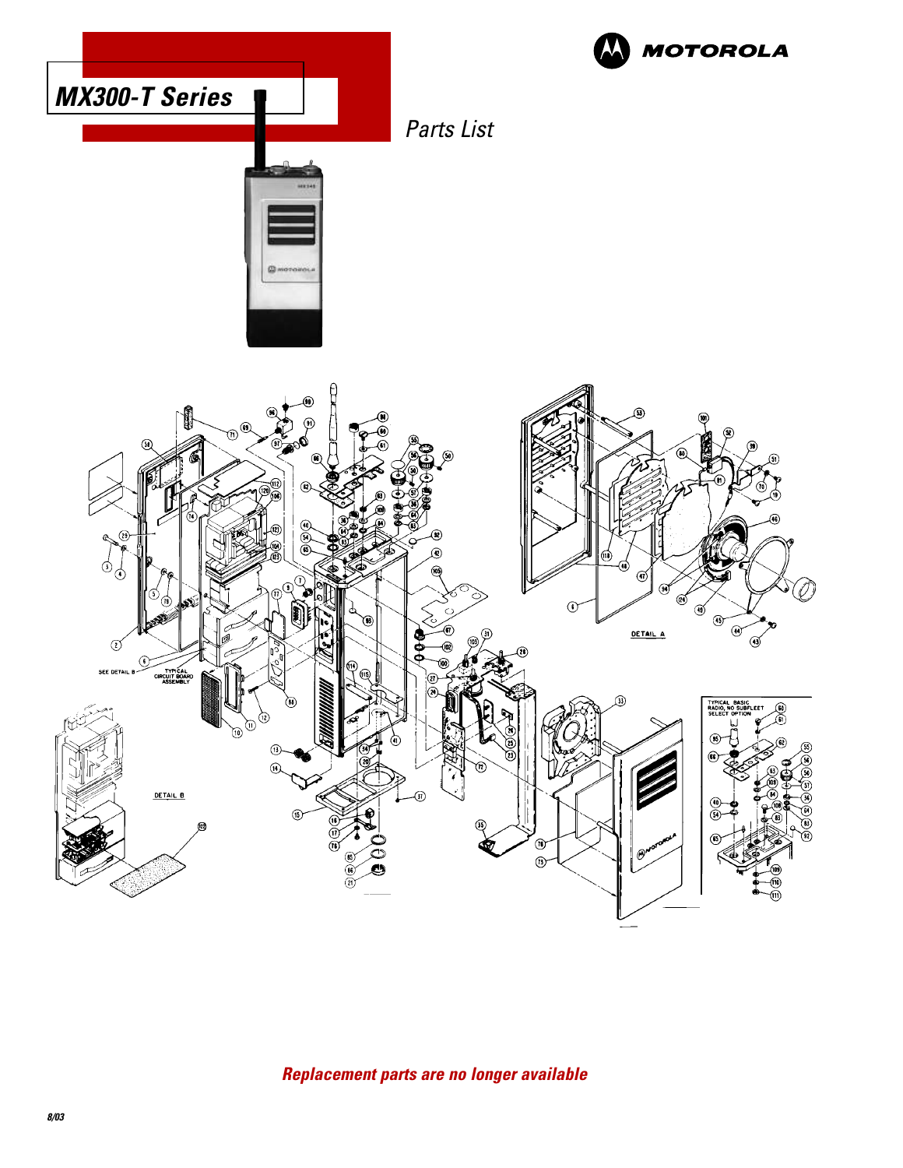

# **Replacement parts are no longer available**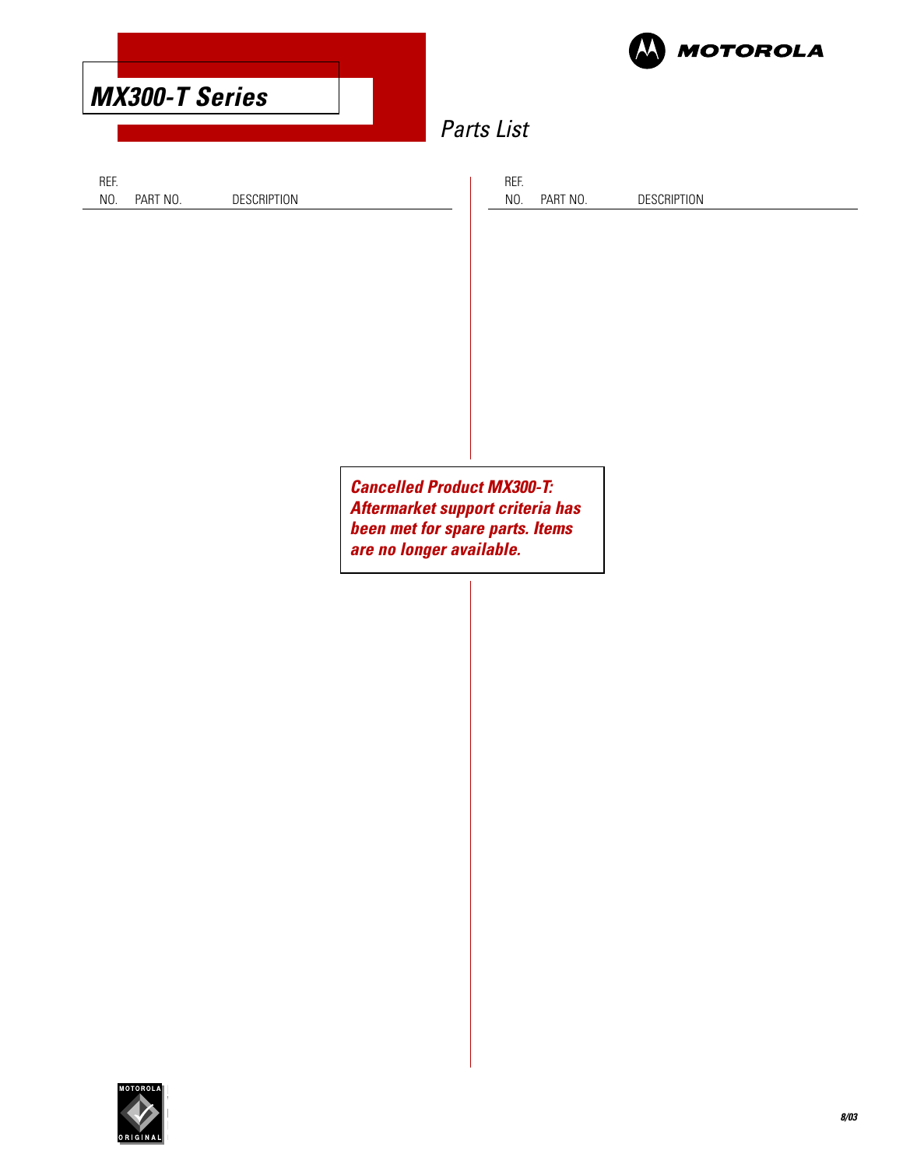

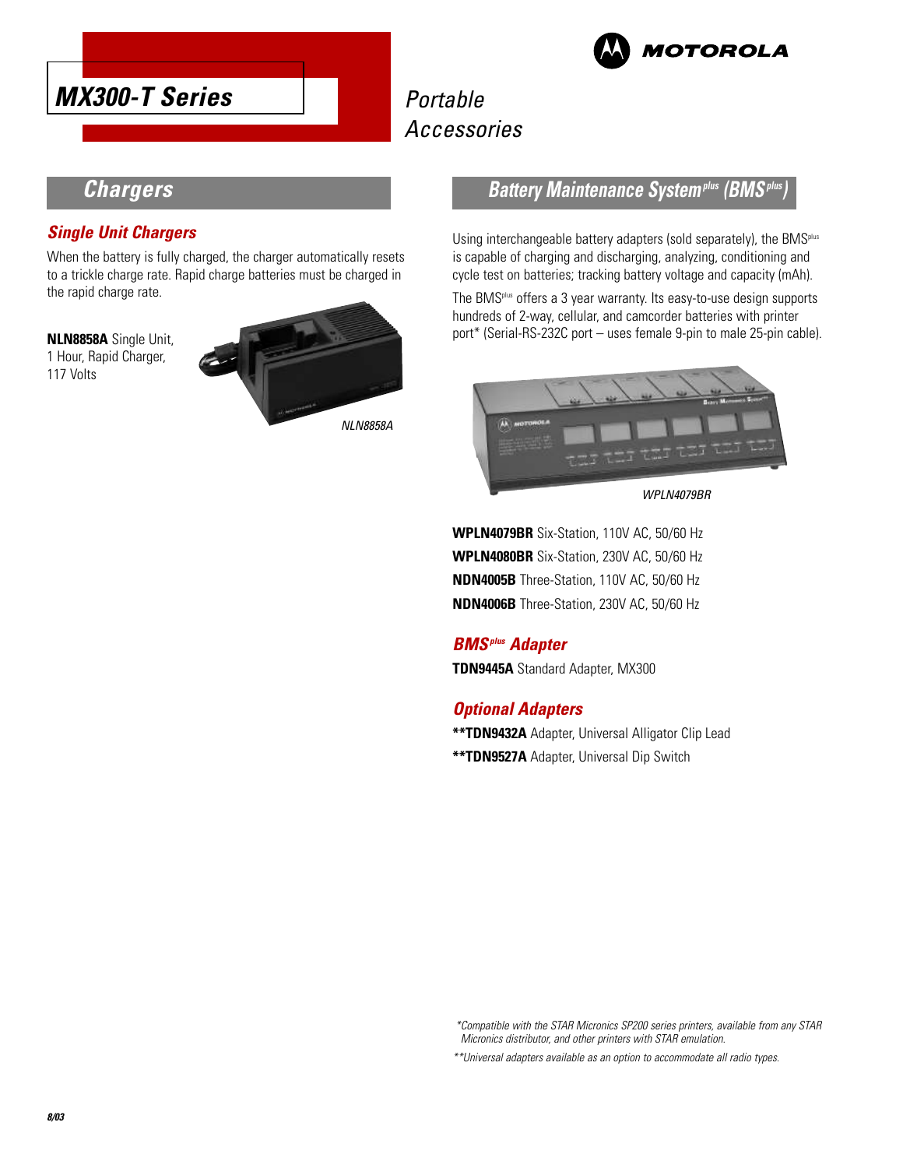



# **Portable** Accessories

# **Chargers**

#### **Single Unit Chargers**

When the battery is fully charged, the charger automatically resets to a trickle charge rate. Rapid charge batteries must be charged in the rapid charge rate.

**NLN8858A** Single Unit, 1 Hour, Rapid Charger, 117 Volts



#### **Battery Maintenance System<sup>plus</sup> (BMS<sup>***i***</sup>**

Using interchangeable battery adapters (sold separately), the BMS<sup>plus</sup> is capable of charging and discharging, analyzing, conditioning and cycle test on batteries; tracking battery voltage and capacity (mAh).

The BMSplus offers a 3 year warranty. Its easy-to-use design supports hundreds of 2-way, cellular, and camcorder batteries with printer port\* (Serial-RS-232C port – uses female 9-pin to male 25-pin cable).



WPLN4079BR

**WPLN4079BR** Six-Station, 110V AC, 50/60 Hz **WPLN4080BR** Six-Station, 230V AC, 50/60 Hz **NDN4005B** Three-Station, 110V AC, 50/60 Hz **NDN4006B** Three-Station, 230V AC, 50/60 Hz

# **BMSplus Adapter**

**TDN9445A** Standard Adapter, MX300

#### **Optional Adapters**

**\*\*TDN9432A** Adapter, Universal Alligator Clip Lead **\*\*TDN9527A** Adapter, Universal Dip Switch

\*Compatible with the STAR Micronics SP200 series printers, available from any STAR Micronics distributor, and other printers with STAR emulation.

\*\*Universal adapters available as an option to accommodate all radio types.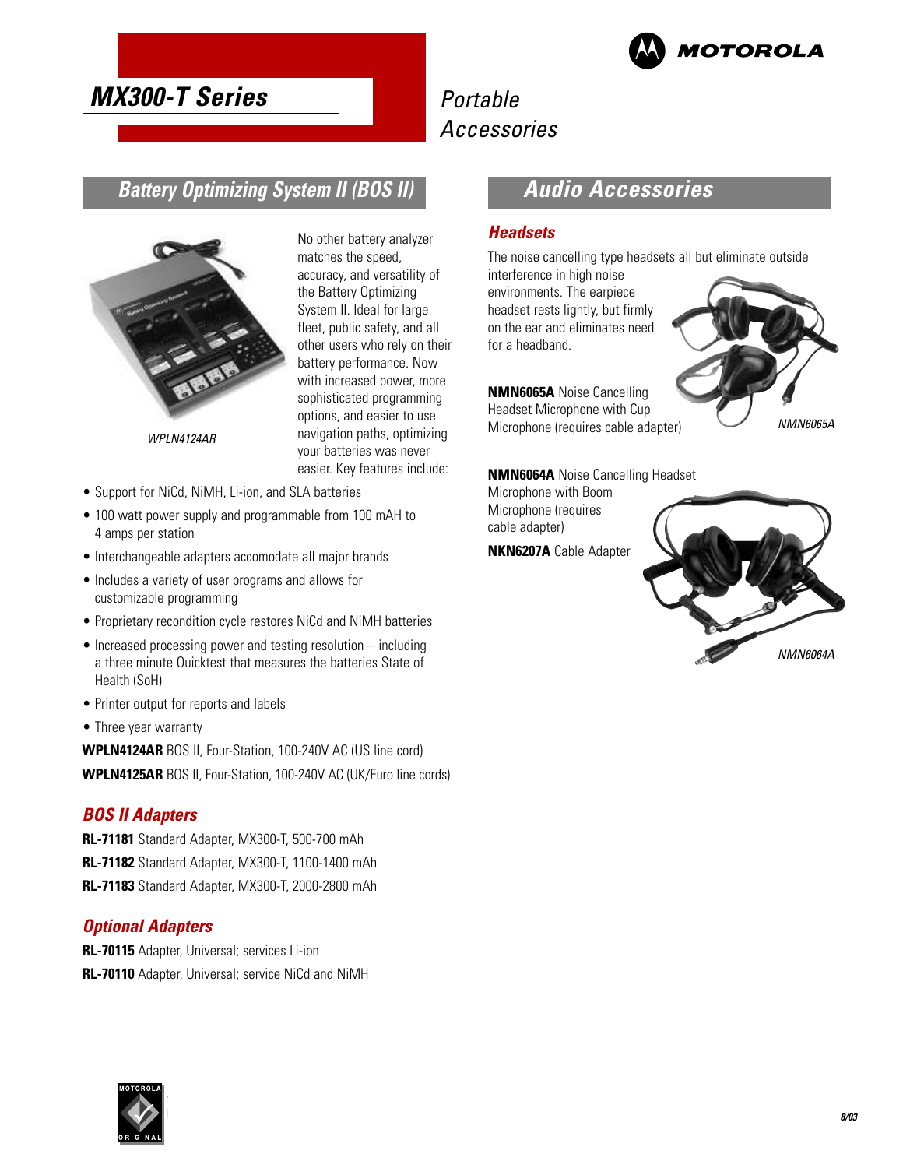

# **MX300-T Series**

# Portable Accessories

# **Battery Optimizing System II (BOS II)**



WPLN4124AR

No other battery analyzer matches the speed, accuracy, and versatility of the Battery Optimizing System II. Ideal for large fleet, public safety, and all other users who rely on their battery performance. Now with increased power, more sophisticated programming options, and easier to use navigation paths, optimizing your batteries was never easier. Key features include:

- 
- Support for NiCd, NiMH, Li-ion, and SLA batteries
- 100 watt power supply and programmable from 100 mAH to 4 amps per station
- Interchangeable adapters accomodate all major brands
- Includes a variety of user programs and allows for customizable programming
- Proprietary recondition cycle restores NiCd and NiMH batteries
- Increased processing power and testing resolution including a three minute Quicktest that measures the batteries State of Health (SoH)
- Printer output for reports and labels
- Three year warranty

**WPLN4124AR** BOS II, Four-Station, 100-240V AC (US line cord) **WPLN4125AR** BOS II, Four-Station, 100-240V AC (UK/Euro line cords)

#### **BOS II Adapters**

**RL-71181** Standard Adapter, MX300-T, 500-700 mAh **RL-71182** Standard Adapter, MX300-T, 1100-1400 mAh **RL-71183** Standard Adapter, MX300-T, 2000-2800 mAh

#### **Optional Adapters**

**RL-70115** Adapter, Universal; services Li-ion **RL-70110** Adapter, Universal; service NiCd and NiMH

# **Audio Accessories**

#### **Headsets**

The noise cancelling type headsets all but eliminate outside

interference in high noise environments. The earpiece headset rests lightly, but firmly on the ear and eliminates need for a headband.

**NMN6065A** Noise Cancelling Headset Microphone with Cup Microphone (requires cable adapter)



**NMN6064A** Noise Cancelling Headset

Microphone with Boom Microphone (requires cable adapter) **NKN6207A** Cable Adapter



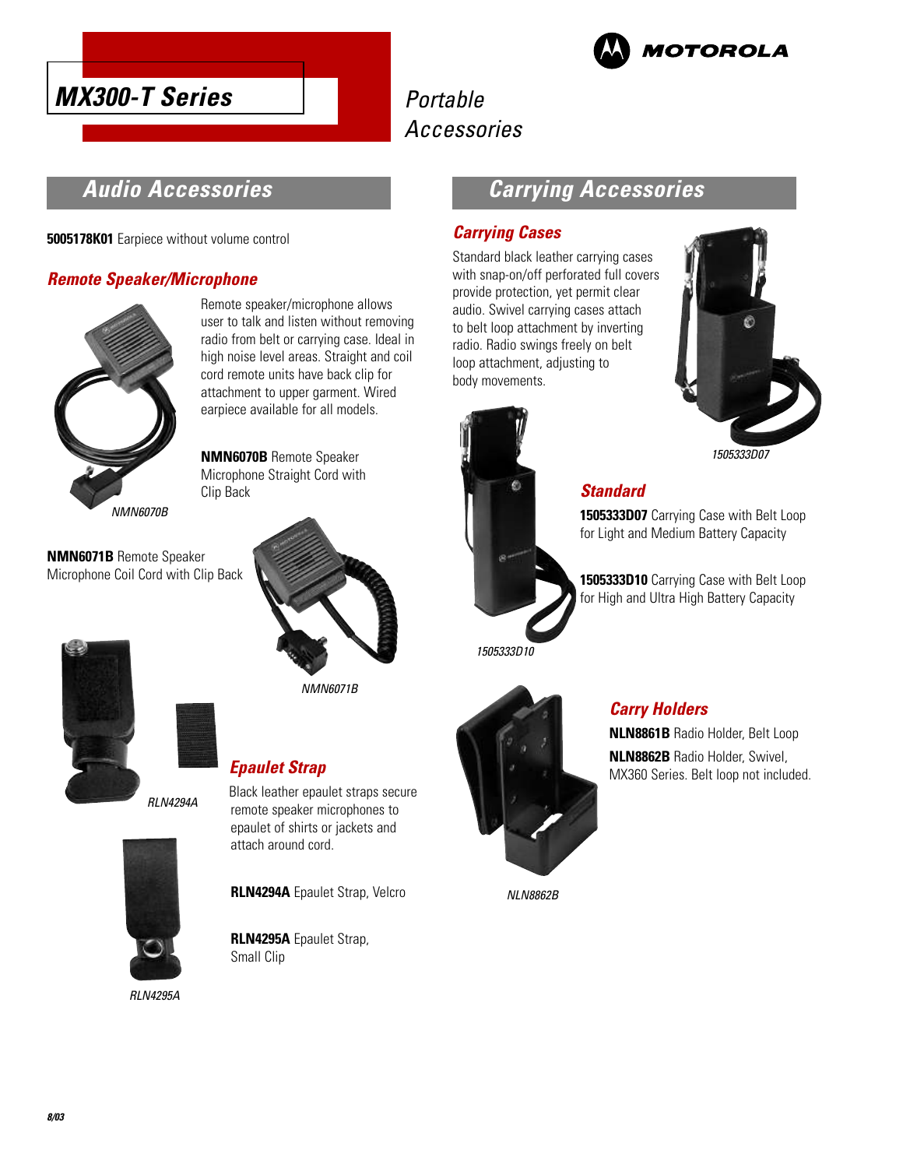



# Portable Accessories

# **Audio Accessories**

**5005178K01** Earpiece without volume control

#### **Remote Speaker/Microphone**



Remote speaker/microphone allows user to talk and listen without removing radio from belt or carrying case. Ideal in high noise level areas. Straight and coil cord remote units have back clip for attachment to upper garment. Wired earpiece available for all models.

**NMN6070B** Remote Speaker Microphone Straight Cord with Clip Back

**NMN6071B** Remote Speaker Microphone Coil Cord with Clip Back



NMN6071B

Black leather epaulet straps secure

# **Epaulet Strap**

RLN4294A



RLN4295A

# remote speaker microphones to epaulet of shirts or jackets and attach around cord. **RLN4294A** Epaulet Strap, Velcro

**RLN4295A** Epaulet Strap, Small Clip

# **Carrying Accessories**

#### **Carrying Cases**

Standard black leather carrying cases with snap-on/off perforated full covers provide protection, yet permit clear audio. Swivel carrying cases attach to belt loop attachment by inverting radio. Radio swings freely on belt loop attachment, adjusting to body movements.



#### **Standard**

**1505333D07** Carrying Case with Belt Loop for Light and Medium Battery Capacity

**1505333D10** Carrying Case with Belt Loop for High and Ultra High Battery Capacity



1505333D10

# **Carry Holders**

**NLN8861B** Radio Holder, Belt Loop **NLN8862B** Radio Holder, Swivel, MX360 Series. Belt loop not included.

NLN8862B